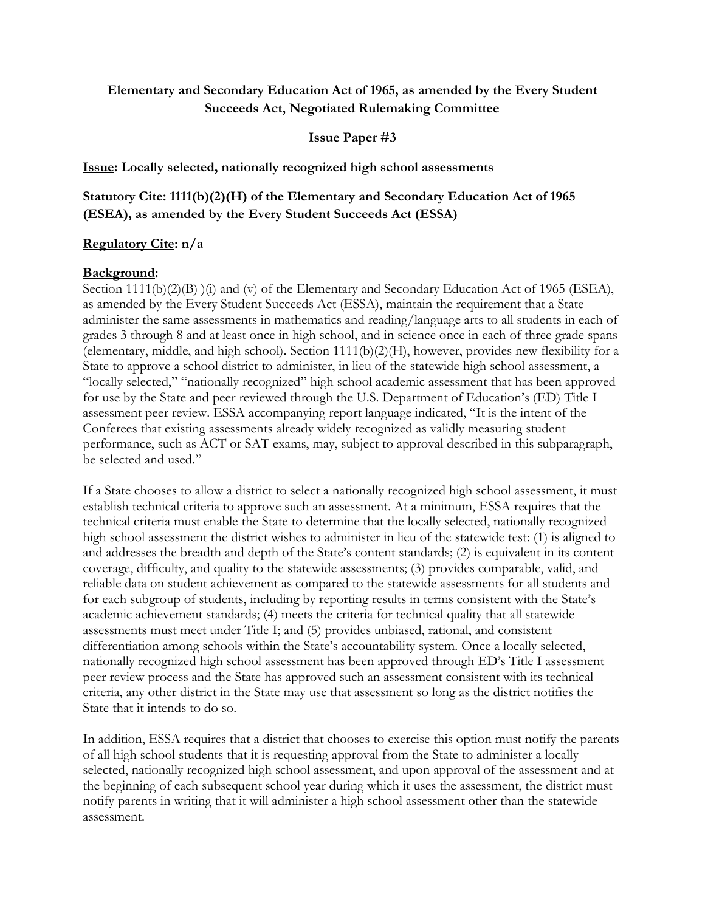## **Elementary and Secondary Education Act of 1965, as amended by the Every Student Succeeds Act, Negotiated Rulemaking Committee**

#### **Issue Paper #3**

**Issue: Locally selected, nationally recognized high school assessments**

# **Statutory Cite: 1111(b)(2)(H) of the Elementary and Secondary Education Act of 1965 (ESEA), as amended by the Every Student Succeeds Act (ESSA)**

### **Regulatory Cite: n/a**

### **Background:**

Section  $1111(b)(2)(B)$  (i) and (v) of the Elementary and Secondary Education Act of 1965 (ESEA), as amended by the Every Student Succeeds Act (ESSA), maintain the requirement that a State administer the same assessments in mathematics and reading/language arts to all students in each of grades 3 through 8 and at least once in high school, and in science once in each of three grade spans (elementary, middle, and high school). Section 1111(b)(2)(H), however, provides new flexibility for a State to approve a school district to administer, in lieu of the statewide high school assessment, a "locally selected," "nationally recognized" high school academic assessment that has been approved for use by the State and peer reviewed through the U.S. Department of Education's (ED) Title I assessment peer review. ESSA accompanying report language indicated, "It is the intent of the Conferees that existing assessments already widely recognized as validly measuring student performance, such as ACT or SAT exams, may, subject to approval described in this subparagraph, be selected and used."

If a State chooses to allow a district to select a nationally recognized high school assessment, it must establish technical criteria to approve such an assessment. At a minimum, ESSA requires that the technical criteria must enable the State to determine that the locally selected, nationally recognized high school assessment the district wishes to administer in lieu of the statewide test: (1) is aligned to and addresses the breadth and depth of the State's content standards; (2) is equivalent in its content coverage, difficulty, and quality to the statewide assessments; (3) provides comparable, valid, and reliable data on student achievement as compared to the statewide assessments for all students and for each subgroup of students, including by reporting results in terms consistent with the State's academic achievement standards; (4) meets the criteria for technical quality that all statewide assessments must meet under Title I; and (5) provides unbiased, rational, and consistent differentiation among schools within the State's accountability system. Once a locally selected, nationally recognized high school assessment has been approved through ED's Title I assessment peer review process and the State has approved such an assessment consistent with its technical criteria, any other district in the State may use that assessment so long as the district notifies the State that it intends to do so.

In addition, ESSA requires that a district that chooses to exercise this option must notify the parents of all high school students that it is requesting approval from the State to administer a locally selected, nationally recognized high school assessment, and upon approval of the assessment and at the beginning of each subsequent school year during which it uses the assessment, the district must notify parents in writing that it will administer a high school assessment other than the statewide assessment.